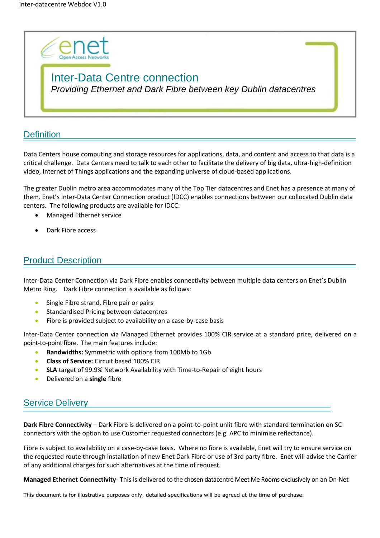

# Inter-Data Centre connection *Providing Ethernet and Dark Fibre between key Dublin datacentres*

### **Definition**

Data Centers house computing and storage resources for applications, data, and content and access to that data is a critical challenge. Data Centers need to talk to each other to facilitate the delivery of big data, ultra-high-definition video, Internet of Things applications and the expanding universe of cloud-based applications.

The greater Dublin metro area accommodates many of the Top Tier datacentres and Enet has a presence at many of them. Enet's Inter-Data Center Connection product (IDCC) enables connections between our collocated Dublin data centers. The following products are available for IDCC:

- Managed Ethernet service
- Dark Fibre access

### Product Description

Inter-Data Center Connection via Dark Fibre enables connectivity between multiple data centers on Enet's Dublin Metro Ring. Dark Fibre connection is available as follows:

- Single Fibre strand, Fibre pair or pairs
- **•** Standardised Pricing between datacentres
- Fibre is provided subject to availability on a case-by-case basis

Inter-Data Center connection via Managed Ethernet provides 100% CIR service at a standard price, delivered on a point-to-point fibre. The main features include:

- **Bandwidths:** Symmetric with options from 100Mb to 1Gb
- **Class of Service:** Circuit based 100% CIR
- **SLA** target of 99.9% Network Availability with Time-to-Repair of eight hours
- Delivered on a **single** fibre

### Service Delivery

**Dark Fibre Connectivity** – Dark Fibre is delivered on a point-to-point unlit fibre with standard termination on SC connectors with the option to use Customer requested connectors (e.g. APC to minimise reflectance).

Fibre is subject to availability on a case-by-case basis. Where no fibre is available, Enet will try to ensure service on the requested route through installation of new Enet Dark Fibre or use of 3rd party fibre. Enet will advise the Carrier of any additional charges for such alternatives at the time of request.

**Managed Ethernet Connectivity**- This is delivered to the chosen datacentre Meet Me Rooms exclusively on an On-Net

This document is for illustrative purposes only, detailed specifications will be agreed at the time of purchase.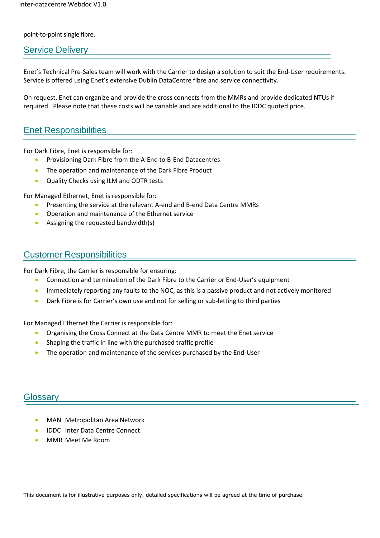#### point-to-point single fibre.

#### Service Delivery

Enet's Technical Pre-Sales team will work with the Carrier to design a solution to suit the End-User requirements. Service is offered using Enet's extensive Dublin DataCentre fibre and service connectivity.

On request, Enet can organize and provide the cross connects from the MMRs and provide dedicated NTUs if required. Please note that these costs will be variable and are additional to the IDDC quoted price.

#### Enet Responsibilities

For Dark Fibre, Enet is responsible for:

- Provisioning Dark Fibre from the A-End to B-End Datacentres
- The operation and maintenance of the Dark Fibre Product
- Quality Checks using ILM and ODTR tests

For Managed Ethernet, Enet is responsible for:

- Presenting the service at the relevant A-end and B-end Data Centre MMRs
- Operation and maintenance of the Ethernet service
- Assigning the requested bandwidth(s)

### Customer Responsibilities

For Dark Fibre, the Carrier is responsible for ensuring:

- Connection and termination of the Dark Fibre to the Carrier or End-User's equipment
- Immediately reporting any faults to the NOC, as this is a passive product and not actively monitored
- Dark Fibre is for Carrier's own use and not for selling or sub-letting to third parties

For Managed Ethernet the Carrier is responsible for:

- Organising the Cross Connect at the Data Centre MMR to meet the Enet service
- Shaping the traffic in line with the purchased traffic profile
- The operation and maintenance of the services purchased by the End-User

#### Glossary

- MAN Metropolitan Area Network
- IDDC Inter Data Centre Connect
- MMR Meet Me Room

This document is for illustrative purposes only, detailed specifications will be agreed at the time of purchase.